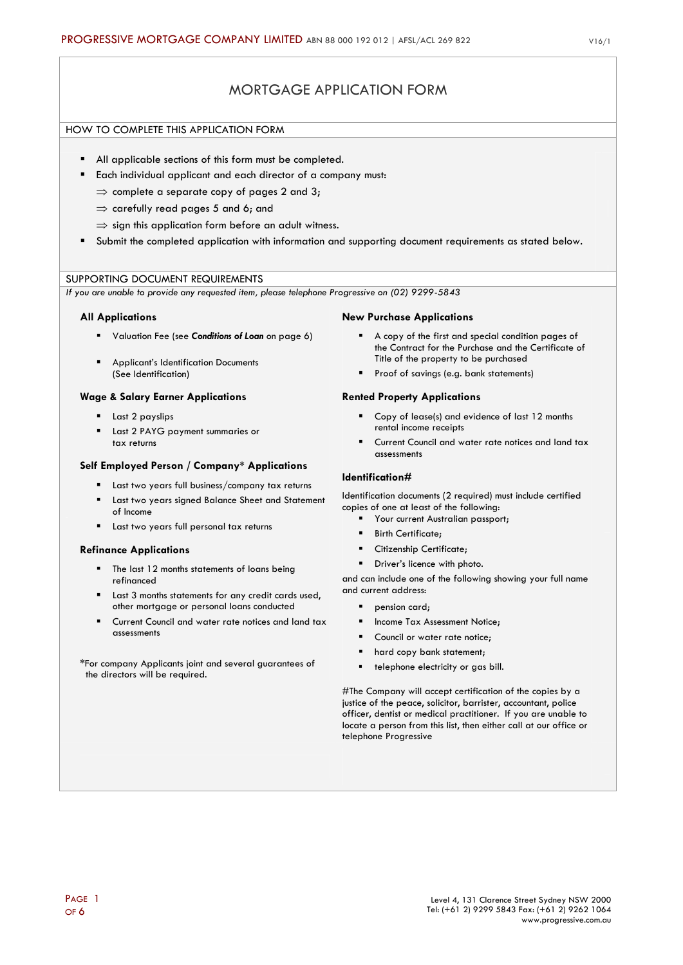# MORTGAGE APPLICATION FORM

### HOW TO COMPLETE THIS APPLICATION FORM

- All applicable sections of this form must be completed.
- **Each individual applicant and each director of a company must:**

 $\Rightarrow$  complete a separate copy of pages 2 and 3;

- $\Rightarrow$  carefully read pages 5 and 6; and
- $\Rightarrow$  sign this application form before an adult witness.
- Submit the completed application with information and supporting document requirements as stated below.

### SUPPORTING DOCUMENT REQUIREMENTS

*If you are unable to provide any requested item, please telephone Progressive on (02) 9299-5843*

### **All Applications**

- Valuation Fee (see *Conditions of Loan* on page 6)
- Applicant's Identification Documents (See Identification)

### **Wage & Salary Earner Applications**

- **Last 2 payslips**
- Last 2 PAYG payment summaries or tax returns

### **Self Employed Person / Company\* Applications**

- **Last two years full business/company tax returns**
- Last two years signed Balance Sheet and Statement of Income
- **Last two years full personal tax returns**

### **Refinance Applications**

- **The last 12 months statements of loans being** refinanced
- **Last 3 months statements for any credit cards used,** other mortgage or personal loans conducted
- Current Council and water rate notices and land tax assessments

**\***For company Applicants joint and several guarantees of the directors will be required.

### **New Purchase Applications**

- A copy of the first and special condition pages of the Contract for the Purchase and the Certificate of Title of the property to be purchased
- Proof of savings (e.g. bank statements)

### **Rented Property Applications**

- Copy of lease(s) and evidence of last 12 months rental income receipts
- Current Council and water rate notices and land tax assessments

### **Identification#**

Identification documents (2 required) must include certified copies of one at least of the following:

- **Your current Australian passport:**
- Birth Certificate;
- **Citizenship Certificate;**
- **Driver's licence with photo.**

and can include one of the following showing your full name and current address:

- **P** pension card;
- Income Tax Assessment Notice;
- Council or water rate notice;
- hard copy bank statement;
- **telephone electricity or gas bill.**

#The Company will accept certification of the copies by a justice of the peace, solicitor, barrister, accountant, police officer, dentist or medical practitioner. If you are unable to locate a person from this list, then either call at our office or telephone Progressive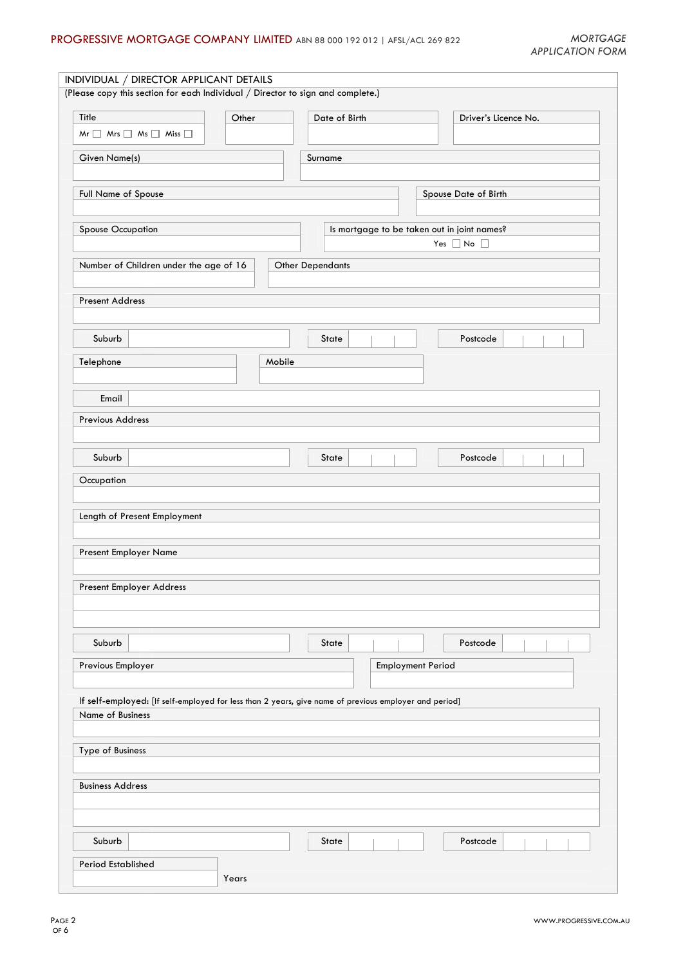| INDIVIDUAL / DIRECTOR APPLICANT DETAILS                                                                                   |        |                                             |                          |                      |
|---------------------------------------------------------------------------------------------------------------------------|--------|---------------------------------------------|--------------------------|----------------------|
| (Please copy this section for each Individual / Director to sign and complete.)                                           |        |                                             |                          |                      |
| Title                                                                                                                     | Other  | Date of Birth                               |                          | Driver's Licence No. |
| $Mr \Box Mrs \Box Ms \Box Mis \Box$                                                                                       |        |                                             |                          |                      |
| Given Name(s)                                                                                                             |        | Surname                                     |                          |                      |
| Full Name of Spouse                                                                                                       |        |                                             |                          | Spouse Date of Birth |
| Spouse Occupation                                                                                                         |        | Is mortgage to be taken out in joint names? |                          | Yes $\Box$ No $\Box$ |
| Number of Children under the age of 16                                                                                    |        | <b>Other Dependants</b>                     |                          |                      |
| Present Address                                                                                                           |        |                                             |                          |                      |
| Suburb                                                                                                                    |        | State                                       |                          | Postcode             |
| Telephone                                                                                                                 | Mobile |                                             |                          |                      |
| Email                                                                                                                     |        |                                             |                          |                      |
| Previous Address                                                                                                          |        |                                             |                          |                      |
| Suburb                                                                                                                    |        | State                                       |                          | Postcode             |
| Occupation                                                                                                                |        |                                             |                          |                      |
| Length of Present Employment                                                                                              |        |                                             |                          |                      |
| Present Employer Name                                                                                                     |        |                                             |                          |                      |
| Present Employer Address                                                                                                  |        |                                             |                          |                      |
|                                                                                                                           |        |                                             |                          |                      |
| Suburb                                                                                                                    |        | State                                       |                          | Postcode             |
| Previous Employer                                                                                                         |        |                                             | <b>Employment Period</b> |                      |
| If self-employed: [If self-employed for less than 2 years, give name of previous employer and period]<br>Name of Business |        |                                             |                          |                      |
| Type of Business                                                                                                          |        |                                             |                          |                      |
| <b>Business Address</b>                                                                                                   |        |                                             |                          |                      |
| Suburb                                                                                                                    |        | State                                       |                          | Postcode             |
| Period Established                                                                                                        |        |                                             |                          |                      |
|                                                                                                                           | Years  |                                             |                          |                      |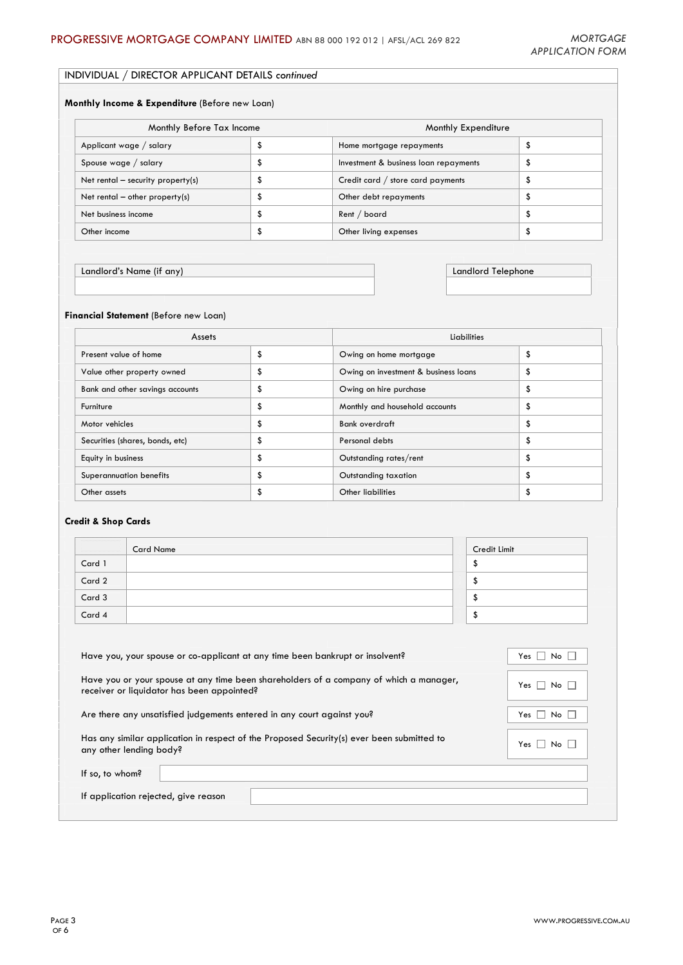# *APPLICATION FORM*

# INDIVIDUAL / DIRECTOR APPLICANT DETAILS *continued*

### **Monthly Income & Expenditure** (Before new Loan)

| Monthly Before Tax Income         |    | Monthly Expenditure                   |   |  |
|-----------------------------------|----|---------------------------------------|---|--|
| Applicant wage / salary           |    | Home mortgage repayments              |   |  |
| Spouse wage / salary              |    | Investment & business loan repayments |   |  |
| Net rental - security property(s) | ۰  | Credit card / store card payments     | J |  |
| Net rental $-$ other property(s)  | Φ  | Other debt repayments                 | J |  |
| Net business income               | ۰D | Rent / board                          |   |  |
| Other income                      |    | Other living expenses                 |   |  |

Landlord's Name (if any) Landlord Telephone

### **Financial Statement** (Before new Loan)

| Assets                          |    | Liabilities                          |    |  |
|---------------------------------|----|--------------------------------------|----|--|
| Present value of home           | S  | Owing on home mortgage               |    |  |
| Value other property owned      |    | Owing on investment & business loans |    |  |
| Bank and other savings accounts | J  | Owing on hire purchase               | Ф  |  |
| Furniture                       | ъ  | Monthly and household accounts       | ъ  |  |
| Motor vehicles                  | S  | Bank overdraft                       | \$ |  |
| Securities (shares, bonds, etc) | \$ | Personal debts                       | S  |  |
| Equity in business              | J  | Outstanding rates/rent               |    |  |
| Superannuation benefits         | Φ  | Outstanding taxation                 |    |  |
| Other assets                    |    | Other liabilities                    |    |  |

### **Credit & Shop Cards**

|        | <b>Card Name</b>                                                                       | Credit Limit                            |
|--------|----------------------------------------------------------------------------------------|-----------------------------------------|
| Card 1 |                                                                                        | \$                                      |
| Card 2 |                                                                                        | S                                       |
| Card 3 |                                                                                        | \$                                      |
| Card 4 |                                                                                        | \$                                      |
|        | Have you, your spouse or co-applicant at any time been bankrupt or insolvent?          | Yes $\Box$ No $\Box$                    |
|        | Have you or your spouse at any time been shareholders of a company of which a manager, | $\mathsf{v}$ $\Box$ $\mathsf{u}$ $\Box$ |

receiver or liquidator has been appointed?<br>  $\begin{array}{ccc} \text{receiver or liquidator has been appointed?} \end{array}$ 

Are there any unsatisfied judgements entered in any court against you? The No  $\Box$  Yes  $\Box$  No  $\Box$ 

Has any similar application in respect of the Proposed Security(s) ever been submitted to Yes all No Yes any other lending body?

If so, to whom?

If application rejected, give reason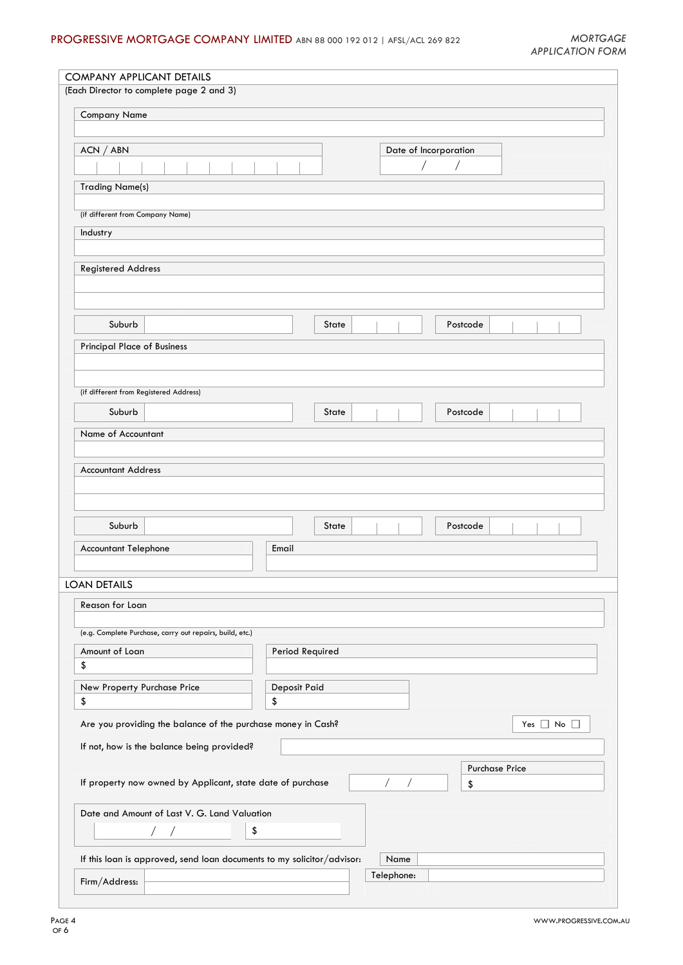# PROGRESSIVE MORTGAGE COMPANY LIMITED ABN 88 000 192 012 | AFSL/ACL 269 822 *MORTGAGE*

| <b>COMPANY APPLICANT DETAILS</b><br>(Each Director to complete page 2 and 3)         |
|--------------------------------------------------------------------------------------|
| Company Name                                                                         |
|                                                                                      |
| ACN / ABN<br>Date of Incorporation                                                   |
| Τ                                                                                    |
| <b>Trading Name(s)</b>                                                               |
| (if different from Company Name)                                                     |
| Industry                                                                             |
| <b>Registered Address</b>                                                            |
| Suburb<br>State<br>Postcode                                                          |
| <b>Principal Place of Business</b>                                                   |
| (if different from Registered Address)                                               |
| Suburb<br>State<br>Postcode                                                          |
| Name of Accountant                                                                   |
| <b>Accountant Address</b><br>Suburb<br>State<br>Postcode                             |
| <b>Accountant Telephone</b><br>Email                                                 |
| <b>LOAN DETAILS</b>                                                                  |
| Reason for Loan                                                                      |
| (e.g. Complete Purchase, carry out repairs, build, etc.)                             |
| Amount of Loan<br>Period Required                                                    |
| \$                                                                                   |
| New Property Purchase Price<br>Deposit Paid<br>\$<br>\$                              |
| Are you providing the balance of the purchase money in Cash?<br>Yes $\Box$ No $\Box$ |
| If not, how is the balance being provided?                                           |
| <b>Purchase Price</b>                                                                |
| If property now owned by Applicant, state date of purchase<br>\$                     |
| Date and Amount of Last V. G. Land Valuation<br>\$                                   |
| If this loan is approved, send loan documents to my solicitor/advisor:<br>Name       |
| Telephone:<br>Firm/Address:                                                          |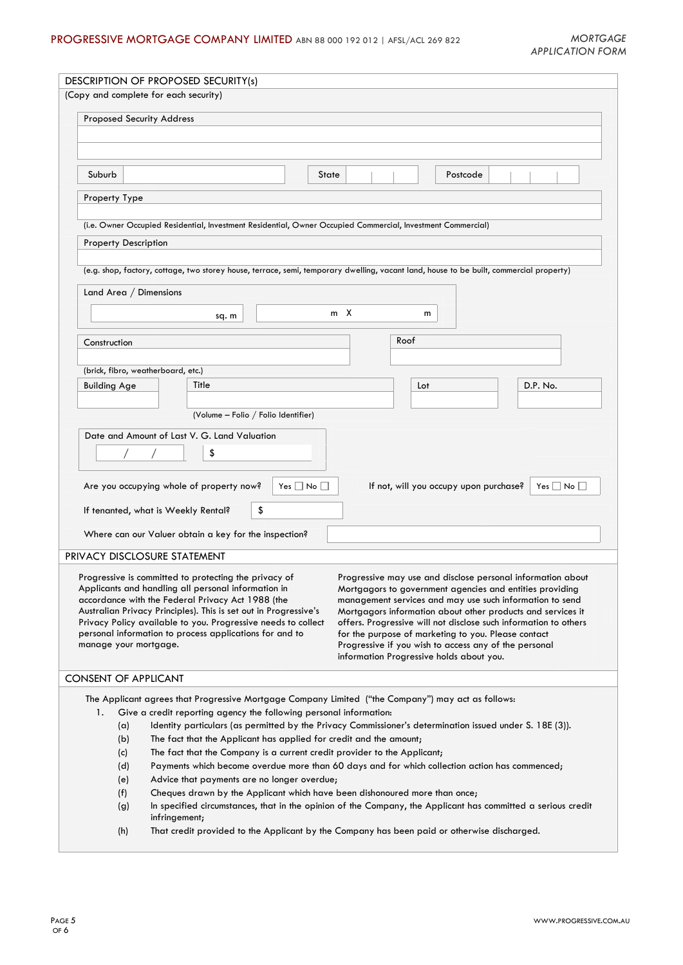# PROGRESSIVE MORTGAGE COMPANY LIMITED ABN 88 000 192 012 | AFSL/ACL 269 822 *MORTGAGE*

|                                    | (Copy and complete for each security)                                                                                                                                                                                                   |
|------------------------------------|-----------------------------------------------------------------------------------------------------------------------------------------------------------------------------------------------------------------------------------------|
| <b>Proposed Security Address</b>   |                                                                                                                                                                                                                                         |
|                                    |                                                                                                                                                                                                                                         |
| Suburb                             | Postcode<br>State                                                                                                                                                                                                                       |
| Property Type                      |                                                                                                                                                                                                                                         |
|                                    | (i.e. Owner Occupied Residential, Investment Residential, Owner Occupied Commercial, Investment Commercial)                                                                                                                             |
| <b>Property Description</b>        |                                                                                                                                                                                                                                         |
|                                    | (e.g. shop, factory, cottage, two storey house, terrace, semi, temporary dwelling, vacant land, house to be built, commercial property)                                                                                                 |
| Land Area / Dimensions             |                                                                                                                                                                                                                                         |
|                                    | m X<br>m<br>sq. m                                                                                                                                                                                                                       |
| Construction                       | Roof                                                                                                                                                                                                                                    |
|                                    |                                                                                                                                                                                                                                         |
| (brick, fibro, weatherboard, etc.) |                                                                                                                                                                                                                                         |
| <b>Building Age</b>                | Title<br>Lot<br>D.P. No.                                                                                                                                                                                                                |
|                                    |                                                                                                                                                                                                                                         |
|                                    | (Volume - Folio / Folio Identifier)                                                                                                                                                                                                     |
|                                    | Date and Amount of Last V. G. Land Valuation                                                                                                                                                                                            |
|                                    | \$                                                                                                                                                                                                                                      |
|                                    |                                                                                                                                                                                                                                         |
|                                    | Yes $\square$ No $\square$<br>If not, will you occupy upon purchase?<br>Yes $\Box$ No $\Box$<br>Are you occupying whole of property now?                                                                                                |
|                                    | \$<br>If tenanted, what is Weekly Rental?                                                                                                                                                                                               |
|                                    | Where can our Valuer obtain a key for the inspection?                                                                                                                                                                                   |
|                                    | PRIVACY DISCLOSURE STATEMENT                                                                                                                                                                                                            |
|                                    |                                                                                                                                                                                                                                         |
|                                    | Progressive is committed to protecting the privacy of<br>Progressive may use and disclose personal information about<br>Applicants and handling all personal information in<br>Mortgagors to government agencies and entities providing |
|                                    | accordance with the Federal Privacy Act 1988 (the<br>management services and may use such information to send                                                                                                                           |
|                                    | Australian Privacy Principles). This is set out in Progressive's<br>Mortgagors information about other products and services it<br>Privacy Policy available to you. Progressive needs to collect                                        |
|                                    | offers. Progressive will not disclose such information to others<br>personal information to process applications for and to<br>for the purpose of marketing to you. Please contact                                                      |
| manage your mortgage.              | Progressive if you wish to access any of the personal                                                                                                                                                                                   |
|                                    | information Progressive holds about you.                                                                                                                                                                                                |
| <b>CONSENT OF APPLICANT</b>        |                                                                                                                                                                                                                                         |
|                                    | The Applicant agrees that Progressive Mortgage Company Limited ("the Company") may act as follows:                                                                                                                                      |
| 1.                                 | Give a credit reporting agency the following personal information:                                                                                                                                                                      |
| (a)                                | Identity particulars (as permitted by the Privacy Commissioner's determination issued under S. 18E (3)).                                                                                                                                |
| (b)                                | The fact that the Applicant has applied for credit and the amount;                                                                                                                                                                      |
| (c)<br>(d)                         | The fact that the Company is a current credit provider to the Applicant;<br>Payments which become overdue more than 60 days and for which collection action has commenced;                                                              |
|                                    | Advice that payments are no longer overdue;                                                                                                                                                                                             |
|                                    |                                                                                                                                                                                                                                         |
| (e)                                |                                                                                                                                                                                                                                         |
| (f)<br>(g)                         | Cheques drawn by the Applicant which have been dishonoured more than once;<br>In specified circumstances, that in the opinion of the Company, the Applicant has committed a serious credit<br>infringement;                             |